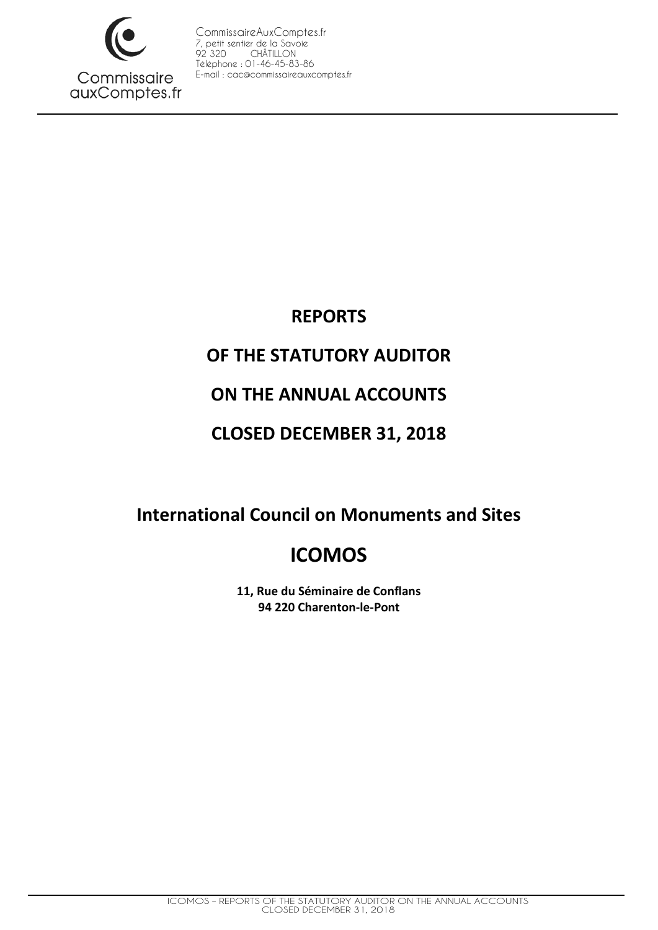

# **REPORTS**

# **OF THE STATUTORY AUDITOR**

# **ON THE ANNUAL ACCOUNTS**

# **CLOSED DECEMBER 31, 2018**

**International Council on Monuments and Sites**

# **ICOMOS**

**11, Rue du Séminaire de Conflans 94 220 Charenton-le-Pont**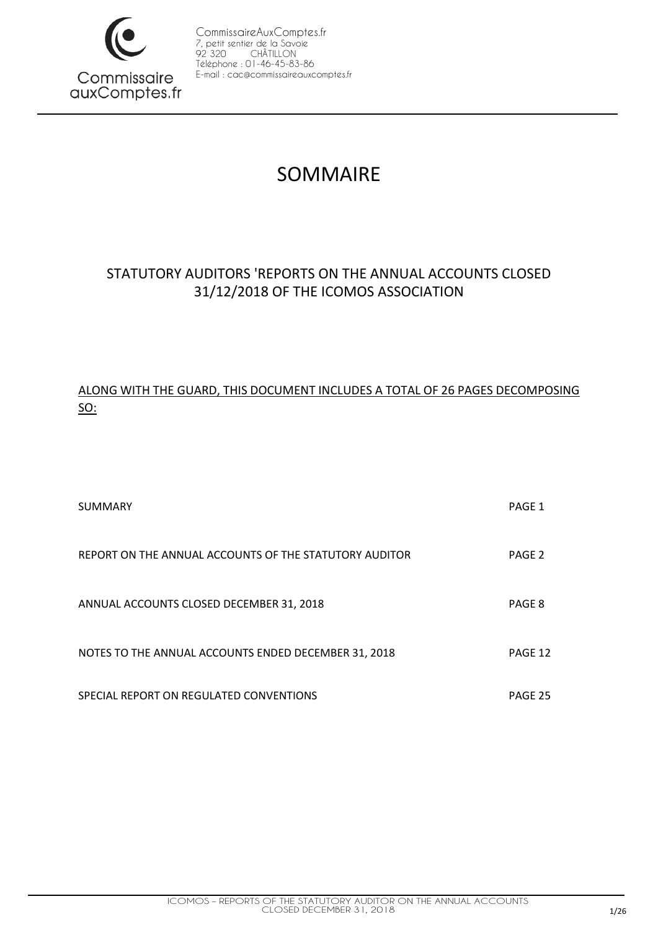

# SOMMAIRE

## STATUTORY AUDITORS 'REPORTS ON THE ANNUAL ACCOUNTS CLOSED 31/12/2018 OF THE ICOMOS ASSOCIATION

## ALONG WITH THE GUARD, THIS DOCUMENT INCLUDES A TOTAL OF 26 PAGES DECOMPOSING SO:

| <b>SUMMARY</b>                                         | PAGE 1  |
|--------------------------------------------------------|---------|
| REPORT ON THE ANNUAL ACCOUNTS OF THE STATUTORY AUDITOR | PAGE 2  |
| ANNUAL ACCOUNTS CLOSED DECEMBER 31, 2018               | PAGE 8  |
| NOTES TO THE ANNUAL ACCOUNTS ENDED DECEMBER 31, 2018   | PAGE 12 |
| SPECIAL REPORT ON REGULATED CONVENTIONS                | PAGE 25 |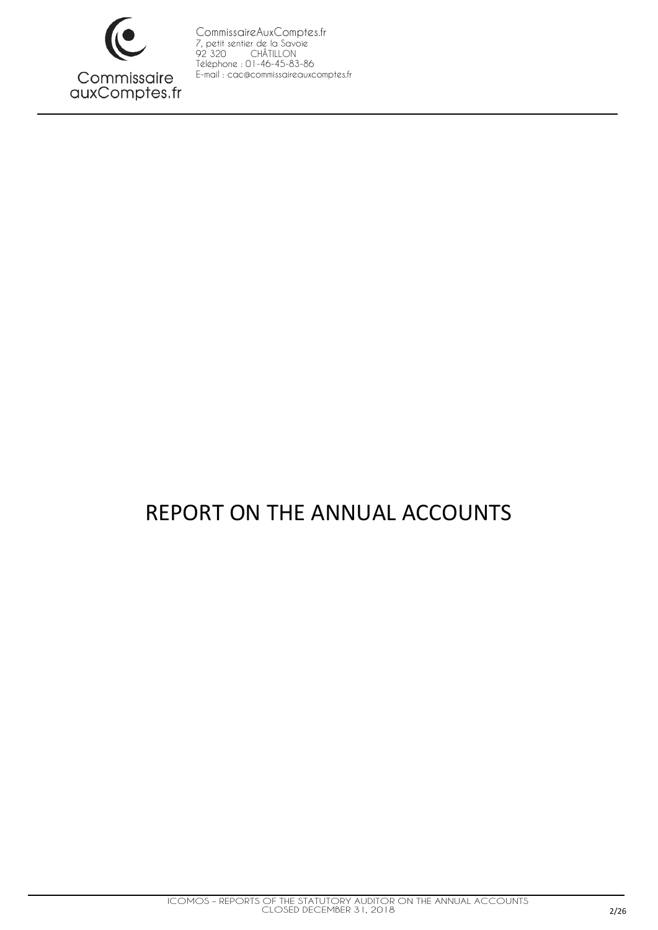

# REPORT ON THE ANNUAL ACCOUNTS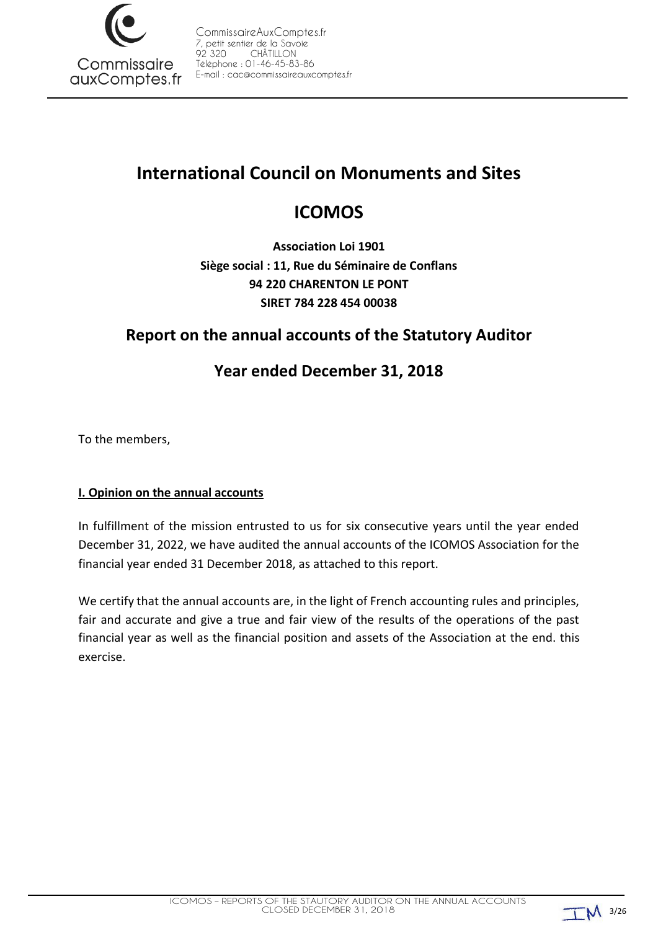

# **International Council on Monuments and Sites**

# **ICOMOS**

**Association Loi 1901 Siège social : 11, Rue du Séminaire de Conflans 94 220 CHARENTON LE PONT SIRET 784 228 454 00038**

# **Report on the annual accounts of the Statutory Auditor**

# **Year ended December 31, 2018**

To the members,

### **I. Opinion on the annual accounts**

In fulfillment of the mission entrusted to us for six consecutive years until the year ended December 31, 2022, we have audited the annual accounts of the ICOMOS Association for the financial year ended 31 December 2018, as attached to this report.

We certify that the annual accounts are, in the light of French accounting rules and principles, fair and accurate and give a true and fair view of the results of the operations of the past financial year as well as the financial position and assets of the Association at the end. this exercise.

 $TM$  3/26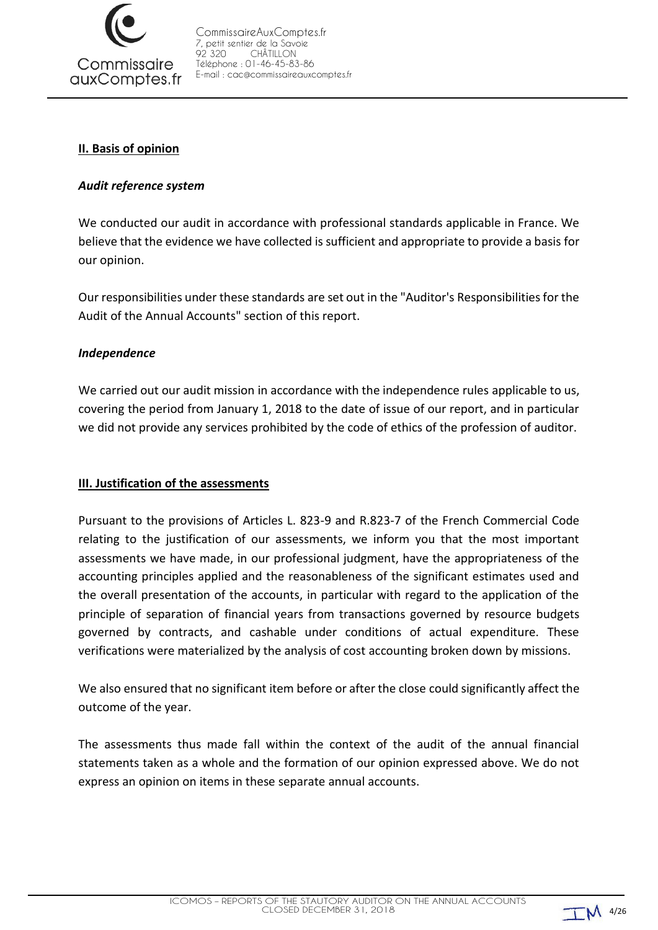

#### **II. Basis of opinion**

#### *Audit reference system*

We conducted our audit in accordance with professional standards applicable in France. We believe that the evidence we have collected is sufficient and appropriate to provide a basis for our opinion.

Our responsibilities under these standards are set out in the "Auditor's Responsibilities for the Audit of the Annual Accounts" section of this report.

#### *Independence*

We carried out our audit mission in accordance with the independence rules applicable to us, covering the period from January 1, 2018 to the date of issue of our report, and in particular we did not provide any services prohibited by the code of ethics of the profession of auditor.

### **III. Justification of the assessments**

Pursuant to the provisions of Articles L. 823-9 and R.823-7 of the French Commercial Code relating to the justification of our assessments, we inform you that the most important assessments we have made, in our professional judgment, have the appropriateness of the accounting principles applied and the reasonableness of the significant estimates used and the overall presentation of the accounts, in particular with regard to the application of the principle of separation of financial years from transactions governed by resource budgets governed by contracts, and cashable under conditions of actual expenditure. These verifications were materialized by the analysis of cost accounting broken down by missions.

We also ensured that no significant item before or after the close could significantly affect the outcome of the year.

The assessments thus made fall within the context of the audit of the annual financial statements taken as a whole and the formation of our opinion expressed above. We do not express an opinion on items in these separate annual accounts.

 $TM$  4/26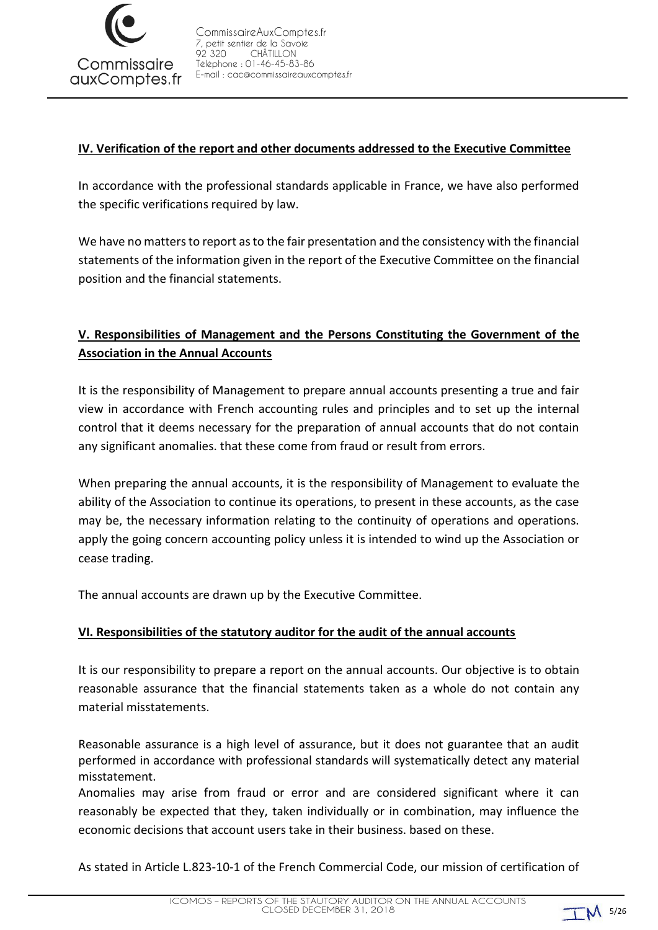

### **IV. Verification of the report and other documents addressed to the Executive Committee**

In accordance with the professional standards applicable in France, we have also performed the specific verifications required by law.

We have no matters to report as to the fair presentation and the consistency with the financial statements of the information given in the report of the Executive Committee on the financial position and the financial statements.

### **V. Responsibilities of Management and the Persons Constituting the Government of the Association in the Annual Accounts**

It is the responsibility of Management to prepare annual accounts presenting a true and fair view in accordance with French accounting rules and principles and to set up the internal control that it deems necessary for the preparation of annual accounts that do not contain any significant anomalies. that these come from fraud or result from errors.

When preparing the annual accounts, it is the responsibility of Management to evaluate the ability of the Association to continue its operations, to present in these accounts, as the case may be, the necessary information relating to the continuity of operations and operations. apply the going concern accounting policy unless it is intended to wind up the Association or cease trading.

The annual accounts are drawn up by the Executive Committee.

#### **VI. Responsibilities of the statutory auditor for the audit of the annual accounts**

It is our responsibility to prepare a report on the annual accounts. Our objective is to obtain reasonable assurance that the financial statements taken as a whole do not contain any material misstatements.

Reasonable assurance is a high level of assurance, but it does not guarantee that an audit performed in accordance with professional standards will systematically detect any material misstatement.

Anomalies may arise from fraud or error and are considered significant where it can reasonably be expected that they, taken individually or in combination, may influence the economic decisions that account users take in their business. based on these.

As stated in Article L.823-10-1 of the French Commercial Code, our mission of certification of

 $TM$  5/26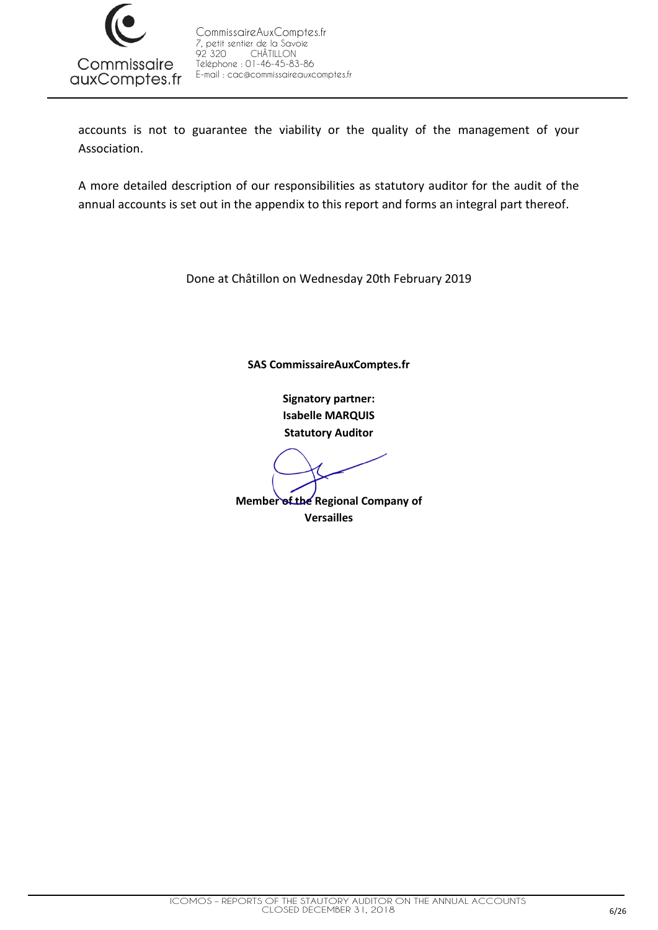

accounts is not to guarantee the viability or the quality of the management of your Association.

A more detailed description of our responsibilities as statutory auditor for the audit of the annual accounts is set out in the appendix to this report and forms an integral part thereof.

Done at Châtillon on Wednesday 20th February 2019

**SAS CommissaireAuxComptes.fr**

**Signatory partner: Isabelle MARQUIS Statutory Auditor**

**Member of the Regional Company of Versailles**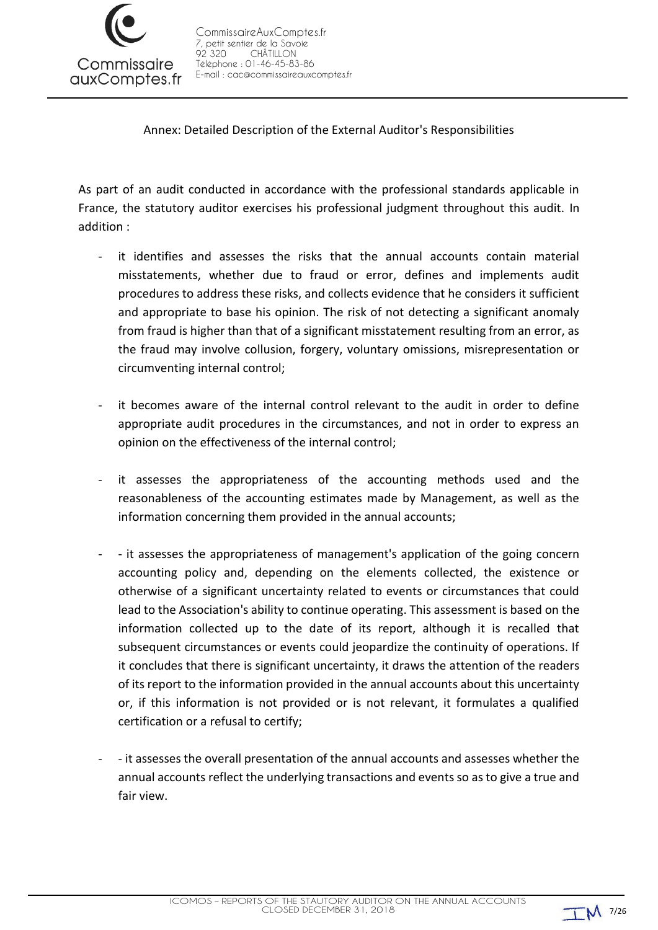

Annex: Detailed Description of the External Auditor's Responsibilities

As part of an audit conducted in accordance with the professional standards applicable in France, the statutory auditor exercises his professional judgment throughout this audit. In addition :

- it identifies and assesses the risks that the annual accounts contain material misstatements, whether due to fraud or error, defines and implements audit procedures to address these risks, and collects evidence that he considers it sufficient and appropriate to base his opinion. The risk of not detecting a significant anomaly from fraud is higher than that of a significant misstatement resulting from an error, as the fraud may involve collusion, forgery, voluntary omissions, misrepresentation or circumventing internal control;
- it becomes aware of the internal control relevant to the audit in order to define appropriate audit procedures in the circumstances, and not in order to express an opinion on the effectiveness of the internal control;
- it assesses the appropriateness of the accounting methods used and the reasonableness of the accounting estimates made by Management, as well as the information concerning them provided in the annual accounts;
- - it assesses the appropriateness of management's application of the going concern accounting policy and, depending on the elements collected, the existence or otherwise of a significant uncertainty related to events or circumstances that could lead to the Association's ability to continue operating. This assessment is based on the information collected up to the date of its report, although it is recalled that subsequent circumstances or events could jeopardize the continuity of operations. If it concludes that there is significant uncertainty, it draws the attention of the readers of its report to the information provided in the annual accounts about this uncertainty or, if this information is not provided or is not relevant, it formulates a qualified certification or a refusal to certify;
- - it assesses the overall presentation of the annual accounts and assesses whether the annual accounts reflect the underlying transactions and events so as to give a true and fair view.

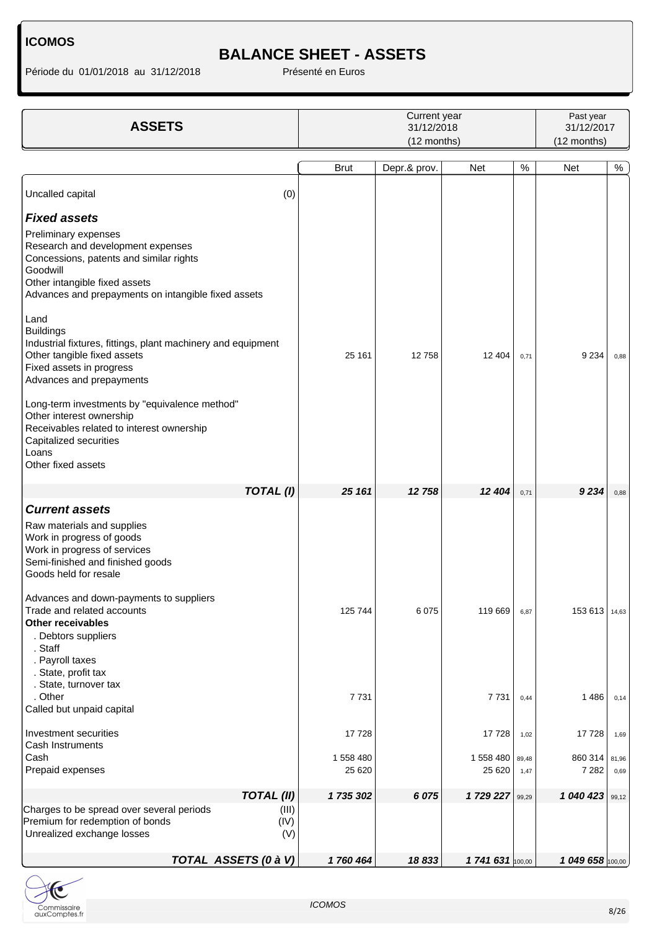Période du 01/01/2018 au 31/12/2018 <br>
Présenté en Euros

# **BALANCE SHEET - ASSETS**

| <b>ASSETS</b>                                                                                                                                                                                                                                                                                                                                                                                                                                                                                                                                                                  |                      | Current year<br>31/12/2018<br>(12 months) |                      |               |                    |               |
|--------------------------------------------------------------------------------------------------------------------------------------------------------------------------------------------------------------------------------------------------------------------------------------------------------------------------------------------------------------------------------------------------------------------------------------------------------------------------------------------------------------------------------------------------------------------------------|----------------------|-------------------------------------------|----------------------|---------------|--------------------|---------------|
|                                                                                                                                                                                                                                                                                                                                                                                                                                                                                                                                                                                | <b>Brut</b>          | Depr.& prov.                              | <b>Net</b>           | $\%$          | <b>Net</b>         | $\%$          |
| Uncalled capital                                                                                                                                                                                                                                                                                                                                                                                                                                                                                                                                                               | (0)                  |                                           |                      |               |                    |               |
| <b>Fixed assets</b>                                                                                                                                                                                                                                                                                                                                                                                                                                                                                                                                                            |                      |                                           |                      |               |                    |               |
| Preliminary expenses<br>Research and development expenses<br>Concessions, patents and similar rights<br>Goodwill<br>Other intangible fixed assets<br>Advances and prepayments on intangible fixed assets<br>Land<br><b>Buildings</b><br>Industrial fixtures, fittings, plant machinery and equipment<br>Other tangible fixed assets<br>Fixed assets in progress<br>Advances and prepayments<br>Long-term investments by "equivalence method"<br>Other interest ownership<br>Receivables related to interest ownership<br>Capitalized securities<br>Loans<br>Other fixed assets | 25 161               | 12758                                     | 12 404               | 0,71          | 9 2 3 4            | 0,88          |
| <b>TOTAL (I)</b>                                                                                                                                                                                                                                                                                                                                                                                                                                                                                                                                                               | 25 161               | 12 758                                    | 12 404               | 0,71          | 9234               | 0,88          |
| <b>Current assets</b><br>Raw materials and supplies<br>Work in progress of goods<br>Work in progress of services<br>Semi-finished and finished goods<br>Goods held for resale<br>Advances and down-payments to suppliers<br>Trade and related accounts<br><b>Other receivables</b><br>. Debtors suppliers<br>. Staff<br>. Payroll taxes                                                                                                                                                                                                                                        | 125 744              | 6075                                      | 119 669              | 6,87          | 153613             | 14,63         |
| . State, profit tax<br>. State, turnover tax<br>. Other<br>Called but unpaid capital                                                                                                                                                                                                                                                                                                                                                                                                                                                                                           | 7731                 |                                           | 7 7 3 1              | 0,44          | 1486               | 0,14          |
| Investment securities<br>Cash Instruments                                                                                                                                                                                                                                                                                                                                                                                                                                                                                                                                      | 17728                |                                           | 17728                | 1,02          | 17728              | 1,69          |
| Cash<br>Prepaid expenses                                                                                                                                                                                                                                                                                                                                                                                                                                                                                                                                                       | 1 558 480<br>25 6 20 |                                           | 1 558 480<br>25 6 20 | 89,48<br>1,47 | 860 314<br>7 2 8 2 | 81,96<br>0,69 |
| <b>TOTAL (II)</b>                                                                                                                                                                                                                                                                                                                                                                                                                                                                                                                                                              | 1 735 302            | 6 0 7 5                                   | 1729 227             | 99,29         | 1 040 423          | 99,12         |
| Charges to be spread over several periods<br>Premium for redemption of bonds<br>Unrealized exchange losses                                                                                                                                                                                                                                                                                                                                                                                                                                                                     | (III)<br>(IV)<br>(V) |                                           |                      |               |                    |               |
| TOTAL ASSETS (0 à V)                                                                                                                                                                                                                                                                                                                                                                                                                                                                                                                                                           | 1760464              | 18833                                     | 1 741 631 100,00     |               | 1 049 658 100,00   |               |

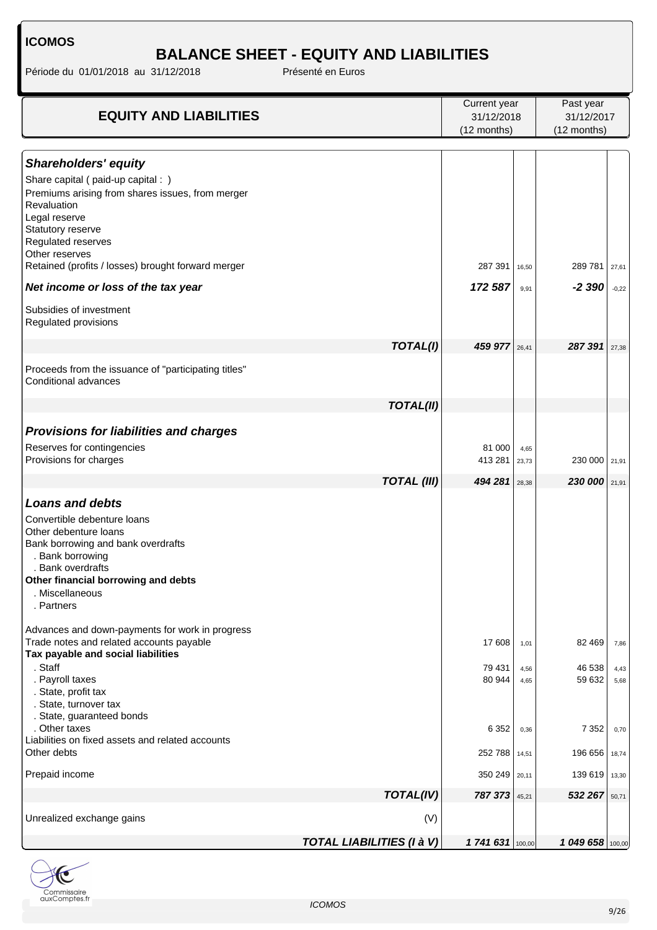# **BALANCE SHEET - EQUITY AND LIABILITIES**

Période du 01/01/2018 au 31/12/2018 Présenté en Euros

|                                                                                                                                                                                                                                       |                                  | Current year                |                      | Past year<br>31/12/2017     |                      |
|---------------------------------------------------------------------------------------------------------------------------------------------------------------------------------------------------------------------------------------|----------------------------------|-----------------------------|----------------------|-----------------------------|----------------------|
| <b>EQUITY AND LIABILITIES</b>                                                                                                                                                                                                         |                                  | 31/12/2018<br>(12 months)   |                      |                             |                      |
|                                                                                                                                                                                                                                       |                                  |                             |                      | (12 months)                 |                      |
| <b>Shareholders' equity</b><br>Share capital (paid-up capital : )<br>Premiums arising from shares issues, from merger<br>Revaluation<br>Legal reserve<br>Statutory reserve<br>Regulated reserves                                      |                                  |                             |                      |                             |                      |
| Other reserves<br>Retained (profits / losses) brought forward merger                                                                                                                                                                  |                                  | 287 391                     | 16,50                | 289 781                     | 27,61                |
| Net income or loss of the tax year                                                                                                                                                                                                    |                                  | 172 587                     | 9,91                 | $-2390$                     | $-0,22$              |
| Subsidies of investment<br>Regulated provisions                                                                                                                                                                                       |                                  |                             |                      |                             |                      |
|                                                                                                                                                                                                                                       | TOTAL(I)                         | 459 977                     | 26,41                | 287 391                     | 27,38                |
| Proceeds from the issuance of "participating titles"<br>Conditional advances                                                                                                                                                          |                                  |                             |                      |                             |                      |
|                                                                                                                                                                                                                                       | <b>TOTAL(II)</b>                 |                             |                      |                             |                      |
| <b>Provisions for liabilities and charges</b><br>Reserves for contingencies<br>Provisions for charges                                                                                                                                 |                                  | 81 000<br>413 281           | 4,65<br>23,73        | 230 000 21,91               |                      |
|                                                                                                                                                                                                                                       | <b>TOTAL (III)</b>               | 494 281                     | 28,38                | 230 000                     | 21,91                |
| <b>Loans and debts</b><br>Convertible debenture loans<br>Other debenture loans<br>Bank borrowing and bank overdrafts<br>. Bank borrowing<br>. Bank overdrafts<br>Other financial borrowing and debts<br>. Miscellaneous<br>. Partners |                                  |                             |                      |                             |                      |
| Advances and down-payments for work in progress<br>Trade notes and related accounts payable<br>Tax payable and social liabilities                                                                                                     |                                  | 17 608                      | 1,01                 | 82 469                      | 7,86                 |
| . Staff<br>. Payroll taxes<br>. State, profit tax<br>. State, turnover tax<br>. State, guaranteed bonds<br>. Other taxes                                                                                                              |                                  | 79 431<br>80 944<br>6 3 5 2 | 4,56<br>4,65<br>0,36 | 46 538<br>59 632<br>7 3 5 2 | 4,43<br>5,68<br>0,70 |
| Liabilities on fixed assets and related accounts<br>Other debts                                                                                                                                                                       |                                  | 252 788 14,51               |                      | 196 656                     | 18,74                |
| Prepaid income                                                                                                                                                                                                                        |                                  | 350 249 20,11               |                      | 139 619                     | 13,30                |
|                                                                                                                                                                                                                                       | TOTAL(IV)                        | 787 373                     | 45,21                | 532 267                     | 50,71                |
| Unrealized exchange gains                                                                                                                                                                                                             | (V)                              |                             |                      |                             |                      |
|                                                                                                                                                                                                                                       | <b>TOTAL LIABILITIES (I à V)</b> | 1 741 631 100,00            |                      | 1 049 658 100,00            |                      |

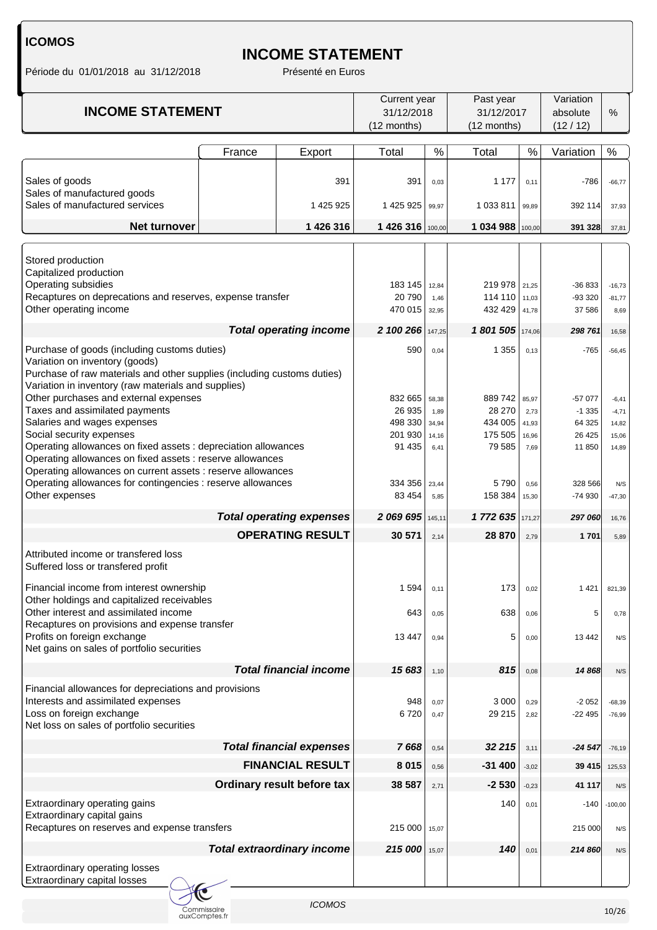# **INCOME STATEMENT**

Période du 01/01/2018 au 31/12/2018 Présenté en Euros

| <b>INCOME STATEMENT</b>                                                                                                                                                                                                                                                                                                                                                                                                               |                              | Current year<br>31/12/2018<br>(12 months) |                                                   | Past year<br>31/12/2017<br>(12 months)  |                                                   | Variation<br>absolute<br>(12/12)        | %                                                 |                                               |
|---------------------------------------------------------------------------------------------------------------------------------------------------------------------------------------------------------------------------------------------------------------------------------------------------------------------------------------------------------------------------------------------------------------------------------------|------------------------------|-------------------------------------------|---------------------------------------------------|-----------------------------------------|---------------------------------------------------|-----------------------------------------|---------------------------------------------------|-----------------------------------------------|
|                                                                                                                                                                                                                                                                                                                                                                                                                                       | France                       | Export                                    | Total                                             | $\%$                                    | Total                                             | %                                       | Variation                                         | $\%$                                          |
| Sales of goods<br>Sales of manufactured goods                                                                                                                                                                                                                                                                                                                                                                                         |                              | 391                                       | 391                                               | 0,03                                    | 1 1 7 7                                           | 0,11                                    | $-786$                                            | $-66,77$                                      |
| Sales of manufactured services                                                                                                                                                                                                                                                                                                                                                                                                        |                              | 1 425 925                                 | 1 425 925                                         | 99,97                                   | 1 033 811                                         | 99,89                                   | 392 114                                           | 37,93                                         |
| Net turnover                                                                                                                                                                                                                                                                                                                                                                                                                          |                              | 1 426 316                                 | 1426 316 100,00                                   |                                         | 1 034 988                                         | 100,00                                  | 391 328                                           | 37,81                                         |
| Stored production<br>Capitalized production<br>Operating subsidies<br>Recaptures on deprecations and reserves, expense transfer<br>Other operating income                                                                                                                                                                                                                                                                             |                              |                                           | 183 145<br>20790<br>470 015                       | 12,84<br>1,46<br>32,95                  | 219 978 21,25<br>114 110<br>432 429               | 11,03<br>41,78                          | -36 833<br>-93 320<br>37 586                      | $-16,73$<br>$-81,77$<br>8,69                  |
|                                                                                                                                                                                                                                                                                                                                                                                                                                       |                              | <b>Total operating income</b>             | 2 100 266                                         | 147,25                                  | 1801505                                           | 174,06                                  | 298 761                                           | 16,58                                         |
| Purchase of goods (including customs duties)                                                                                                                                                                                                                                                                                                                                                                                          |                              |                                           | 590                                               | 0,04                                    | 1 3 5 5                                           | 0,13                                    | $-765$                                            | $-56,45$                                      |
| Variation on inventory (goods)<br>Purchase of raw materials and other supplies (including customs duties)<br>Variation in inventory (raw materials and supplies)<br>Other purchases and external expenses<br>Taxes and assimilated payments<br>Salaries and wages expenses<br>Social security expenses<br>Operating allowances on fixed assets : depreciation allowances<br>Operating allowances on fixed assets : reserve allowances |                              |                                           | 832 665<br>26 935<br>498 330<br>201 930<br>91 435 | 58,38<br>1,89<br>34,94<br>14,16<br>6,41 | 889 742<br>28 270<br>434 005<br>175 505<br>79 585 | 85,97<br>2,73<br>41,93<br>16,96<br>7,69 | -57 077<br>$-1335$<br>64 325<br>26 4 25<br>11 850 | $-6,41$<br>$-4,71$<br>14,82<br>15,06<br>14,89 |
| Operating allowances on current assets : reserve allowances<br>Operating allowances for contingencies : reserve allowances<br>Other expenses                                                                                                                                                                                                                                                                                          |                              |                                           | 334 356<br>83 454                                 | 23,44<br>5,85                           | 5790<br>158 384                                   | 0,56<br>15,30                           | 328 566<br>-74 930                                | N/S<br>$-47,30$                               |
|                                                                                                                                                                                                                                                                                                                                                                                                                                       |                              | <b>Total operating expenses</b>           | 2 069 695                                         | 145,11                                  | 1 772 635 171.27                                  |                                         | 297 060                                           | 16,76                                         |
|                                                                                                                                                                                                                                                                                                                                                                                                                                       |                              | <b>OPERATING RESULT</b>                   | 30 571                                            | 2,14                                    | 28 870                                            | 2,79                                    | 1701                                              | 5,89                                          |
| Attributed income or transfered loss<br>Suffered loss or transfered profit                                                                                                                                                                                                                                                                                                                                                            |                              |                                           |                                                   |                                         |                                                   |                                         |                                                   |                                               |
| Financial income from interest ownership<br>Other holdings and capitalized receivables                                                                                                                                                                                                                                                                                                                                                |                              |                                           | 1594                                              | 0,11                                    | 173                                               | 0,02                                    | 1 4 2 1                                           | 821,39                                        |
| Other interest and assimilated income<br>Recaptures on provisions and expense transfer                                                                                                                                                                                                                                                                                                                                                |                              |                                           | 643                                               | 0,05                                    | 638                                               | 0,06                                    | 5                                                 | 0,78                                          |
| Profits on foreign exchange<br>Net gains on sales of portfolio securities                                                                                                                                                                                                                                                                                                                                                             |                              |                                           | 13 4 4 7                                          | 0,94                                    | 5                                                 | 0,00                                    | 13 4 42                                           | N/S                                           |
|                                                                                                                                                                                                                                                                                                                                                                                                                                       |                              | <b>Total financial income</b>             | 15 683                                            | 1,10                                    | 815                                               | 0,08                                    | 14 868                                            | N/S                                           |
| Financial allowances for depreciations and provisions<br>Interests and assimilated expenses<br>Loss on foreign exchange<br>Net loss on sales of portfolio securities                                                                                                                                                                                                                                                                  |                              |                                           | 948<br>6720                                       | 0,07<br>0,47                            | 3 0 0 0<br>29 215                                 | 0,29<br>2,82                            | $-2052$<br>$-22495$                               | $-68,39$<br>$-76,99$                          |
|                                                                                                                                                                                                                                                                                                                                                                                                                                       |                              | <b>Total financial expenses</b>           | 7668                                              | 0,54                                    | 32 215                                            | 3,11                                    | $-24547$                                          | $-76,19$                                      |
|                                                                                                                                                                                                                                                                                                                                                                                                                                       |                              | <b>FINANCIAL RESULT</b>                   | 8 0 1 5                                           | 0,56                                    | $-31400$                                          | $-3,02$                                 | 39 415                                            | 125,53                                        |
|                                                                                                                                                                                                                                                                                                                                                                                                                                       |                              | Ordinary result before tax                | 38 587                                            | 2,71                                    | $-2530$                                           | $-0,23$                                 | 41 117                                            | N/S                                           |
| Extraordinary operating gains<br>Extraordinary capital gains<br>Recaptures on reserves and expense transfers                                                                                                                                                                                                                                                                                                                          |                              |                                           | 215 000                                           | 15,07                                   | 140                                               | 0,01                                    | $-140$<br>215 000                                 | $-100,00$<br>N/S                              |
|                                                                                                                                                                                                                                                                                                                                                                                                                                       |                              |                                           |                                                   |                                         |                                                   |                                         |                                                   |                                               |
| Extraordinary operating losses<br>Extraordinary capital losses                                                                                                                                                                                                                                                                                                                                                                        |                              | <b>Total extraordinary income</b>         | 215 000                                           | 15,07                                   | 140                                               | 0,01                                    | 214 860                                           | N/S                                           |
|                                                                                                                                                                                                                                                                                                                                                                                                                                       | Commissaire<br>auxComptes.fr | <b>ICOMOS</b>                             |                                                   |                                         |                                                   |                                         |                                                   | 10/26                                         |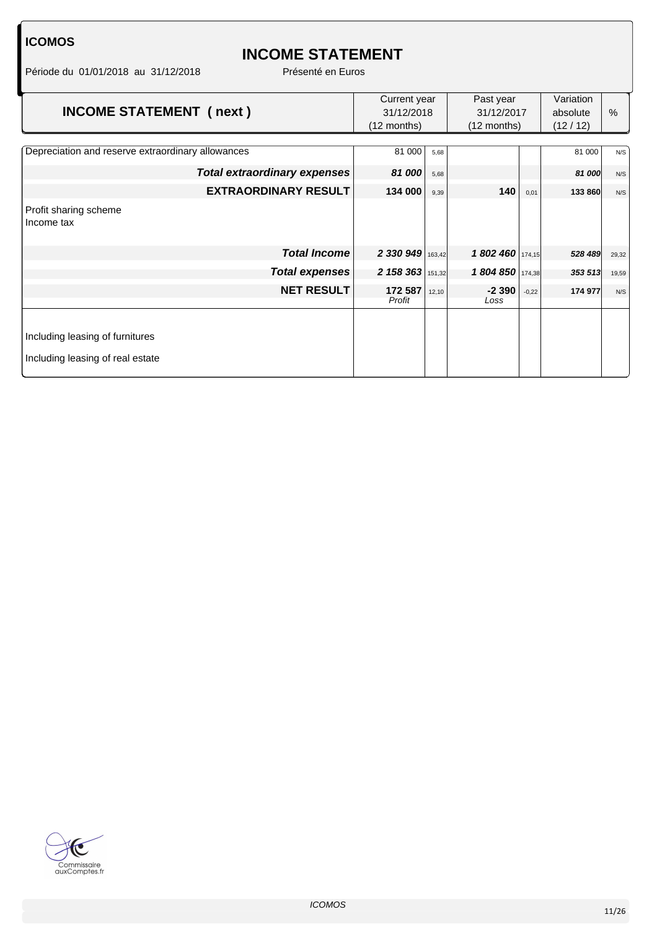## **INCOME STATEMENT**

Période du 01/01/2018 au 31/12/2018 Présenté en Euros

| <b>INCOME STATEMENT (next)</b>                    | Current year<br>31/12/2018<br>$(12$ months) |        | Past year<br>31/12/2017<br>$(12$ months) |         | Variation<br>absolute<br>(12/12) | $\%$  |
|---------------------------------------------------|---------------------------------------------|--------|------------------------------------------|---------|----------------------------------|-------|
| Depreciation and reserve extraordinary allowances | 81 000                                      | 5,68   |                                          |         | 81 000                           | N/S   |
| Total extraordinary expenses                      | 81 000                                      | 5,68   |                                          |         | 81 000                           | N/S   |
| <b>EXTRAORDINARY RESULT</b>                       | 134 000                                     | 9,39   | 140                                      | 0,01    | 133 860                          | N/S   |
| Profit sharing scheme<br>Income tax               |                                             |        |                                          |         |                                  |       |
| <b>Total Income</b>                               | 2 330 949                                   | 163,42 | 1 802 460 174,15                         |         | 528 489                          | 29,32 |
| <b>Total expenses</b>                             | 2 158 363                                   | 151,32 | 1804850                                  | 174,38  | 353 513                          | 19,59 |
| <b>NET RESULT</b>                                 | 172 587<br>Profit                           | 12,10  | $-2390$<br>Loss                          | $-0,22$ | 174 977                          | N/S   |
|                                                   |                                             |        |                                          |         |                                  |       |
| Including leasing of furnitures                   |                                             |        |                                          |         |                                  |       |
| Including leasing of real estate                  |                                             |        |                                          |         |                                  |       |

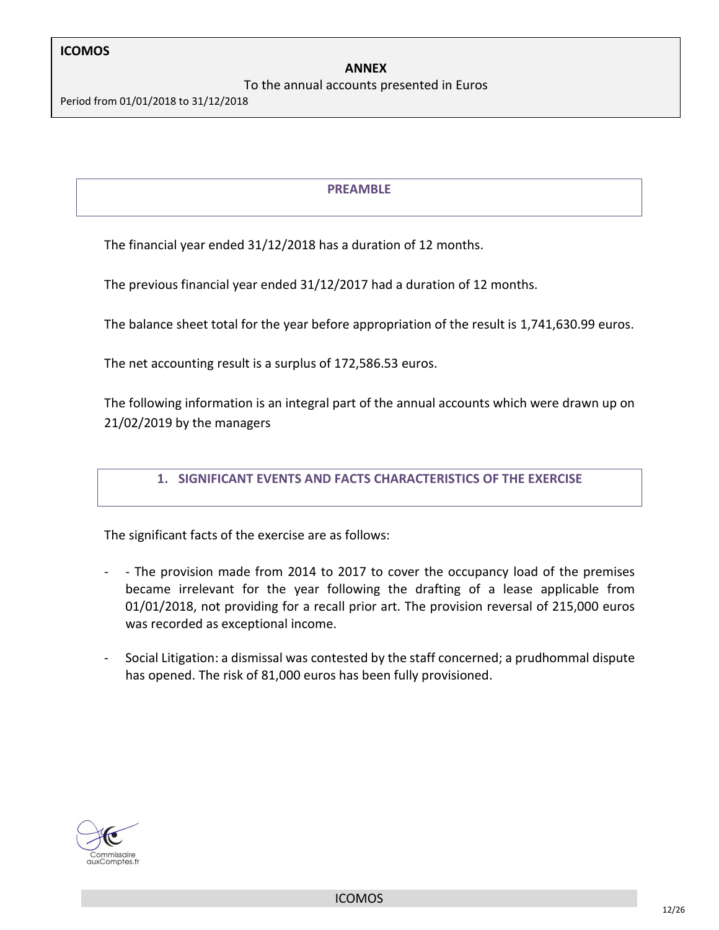#### To the annual accounts presented in Euros

Period from 01/01/2018 to 31/12/2018

#### **PREAMBLE**

The financial year ended 31/12/2018 has a duration of 12 months.

The previous financial year ended 31/12/2017 had a duration of 12 months.

The balance sheet total for the year before appropriation of the result is 1,741,630.99 euros.

The net accounting result is a surplus of 172,586.53 euros.

The following information is an integral part of the annual accounts which were drawn up on 21/02/2019 by the managers

#### **1. SIGNIFICANT EVENTS AND FACTS CHARACTERISTICS OF THE EXERCISE**

The significant facts of the exercise are as follows:

- - The provision made from 2014 to 2017 to cover the occupancy load of the premises became irrelevant for the year following the drafting of a lease applicable from 01/01/2018, not providing for a recall prior art. The provision reversal of 215,000 euros was recorded as exceptional income.
- Social Litigation: a dismissal was contested by the staff concerned; a prudhommal dispute has opened. The risk of 81,000 euros has been fully provisioned.

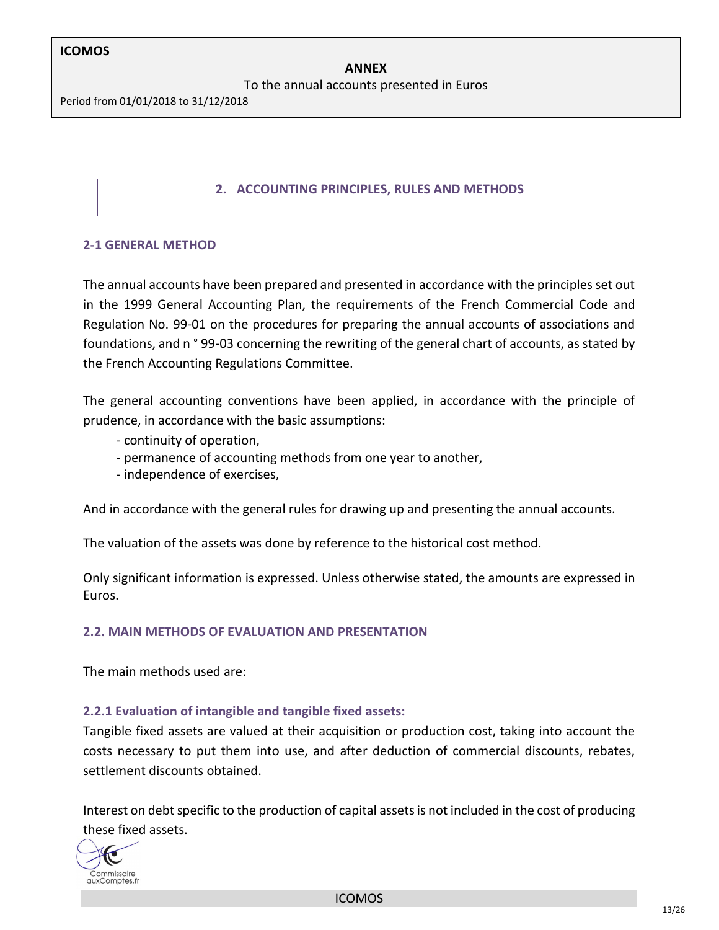To the annual accounts presented in Euros

Period from 01/01/2018 to 31/12/2018

#### **2. ACCOUNTING PRINCIPLES, RULES AND METHODS**

#### **2-1 GENERAL METHOD**

The annual accounts have been prepared and presented in accordance with the principles set out in the 1999 General Accounting Plan, the requirements of the French Commercial Code and Regulation No. 99-01 on the procedures for preparing the annual accounts of associations and foundations, and n ° 99-03 concerning the rewriting of the general chart of accounts, as stated by the French Accounting Regulations Committee.

The general accounting conventions have been applied, in accordance with the principle of prudence, in accordance with the basic assumptions:

- continuity of operation,
- permanence of accounting methods from one year to another,
- independence of exercises,

And in accordance with the general rules for drawing up and presenting the annual accounts.

The valuation of the assets was done by reference to the historical cost method.

Only significant information is expressed. Unless otherwise stated, the amounts are expressed in Euros.

#### **2.2. MAIN METHODS OF EVALUATION AND PRESENTATION**

The main methods used are:

#### **2.2.1 Evaluation of intangible and tangible fixed assets:**

Tangible fixed assets are valued at their acquisition or production cost, taking into account the costs necessary to put them into use, and after deduction of commercial discounts, rebates, settlement discounts obtained.

Interest on debt specific to the production of capital assets is not included in the cost of producing these fixed assets.



ICOMOS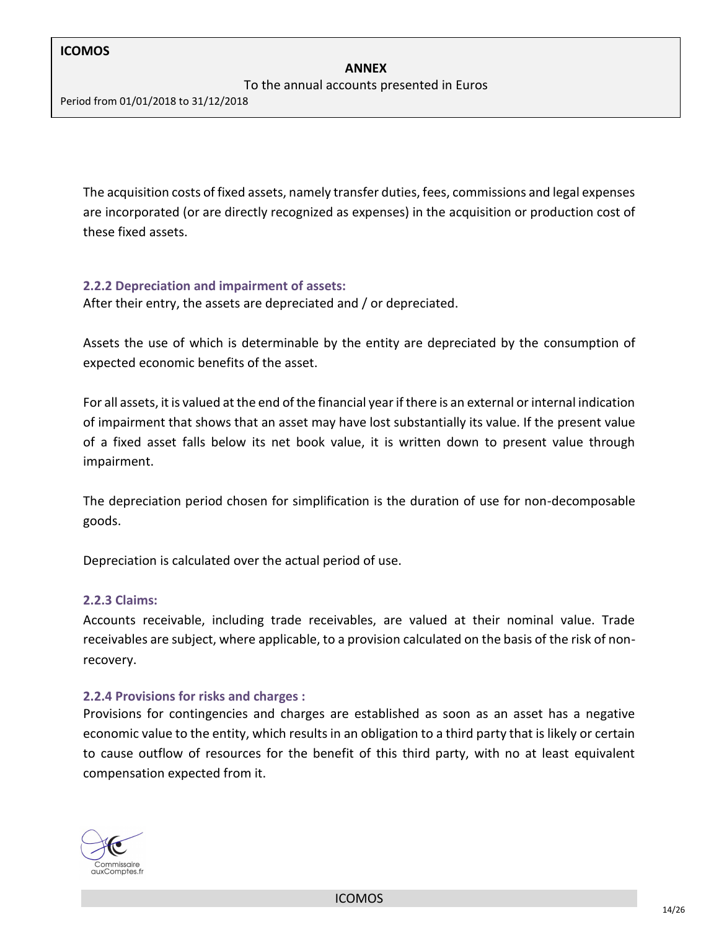To the annual accounts presented in Euros

Period from 01/01/2018 to 31/12/2018

The acquisition costs of fixed assets, namely transfer duties, fees, commissions and legal expenses are incorporated (or are directly recognized as expenses) in the acquisition or production cost of these fixed assets.

#### **2.2.2 Depreciation and impairment of assets:**

After their entry, the assets are depreciated and / or depreciated.

Assets the use of which is determinable by the entity are depreciated by the consumption of expected economic benefits of the asset.

For all assets, it is valued at the end of the financial year if there is an external or internal indication of impairment that shows that an asset may have lost substantially its value. If the present value of a fixed asset falls below its net book value, it is written down to present value through impairment.

The depreciation period chosen for simplification is the duration of use for non-decomposable goods.

Depreciation is calculated over the actual period of use.

#### **2.2.3 Claims:**

Accounts receivable, including trade receivables, are valued at their nominal value. Trade receivables are subject, where applicable, to a provision calculated on the basis of the risk of nonrecovery.

#### **2.2.4 Provisions for risks and charges :**

Provisions for contingencies and charges are established as soon as an asset has a negative economic value to the entity, which results in an obligation to a third party that is likely or certain to cause outflow of resources for the benefit of this third party, with no at least equivalent compensation expected from it.

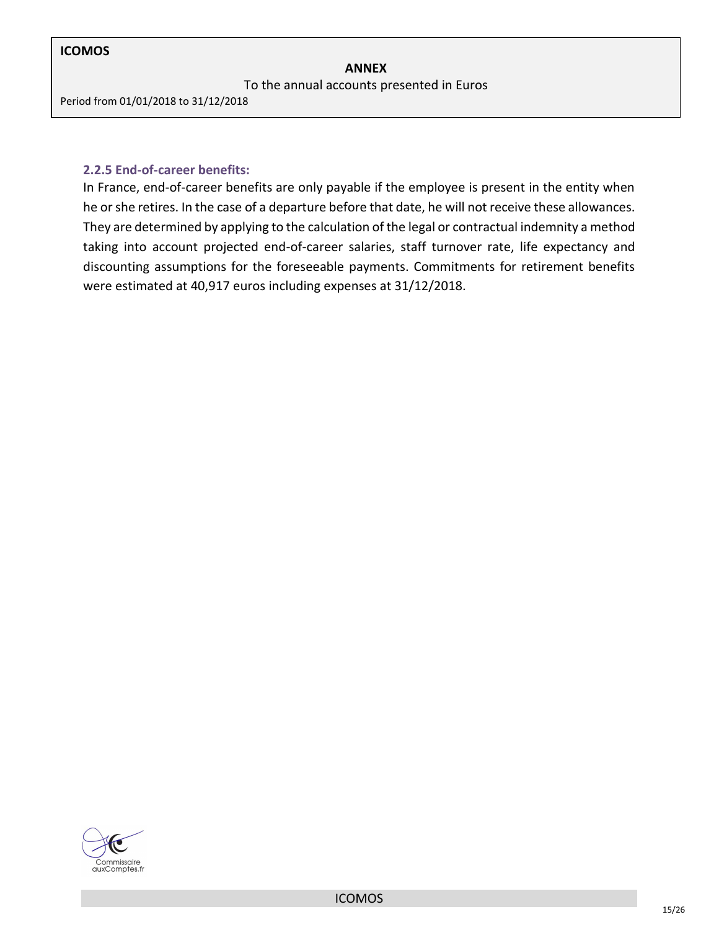To the annual accounts presented in Euros

Period from 01/01/2018 to 31/12/2018

#### **2.2.5 End-of-career benefits:**

In France, end-of-career benefits are only payable if the employee is present in the entity when he or she retires. In the case of a departure before that date, he will not receive these allowances. They are determined by applying to the calculation of the legal or contractual indemnity a method taking into account projected end-of-career salaries, staff turnover rate, life expectancy and discounting assumptions for the foreseeable payments. Commitments for retirement benefits were estimated at 40,917 euros including expenses at 31/12/2018.

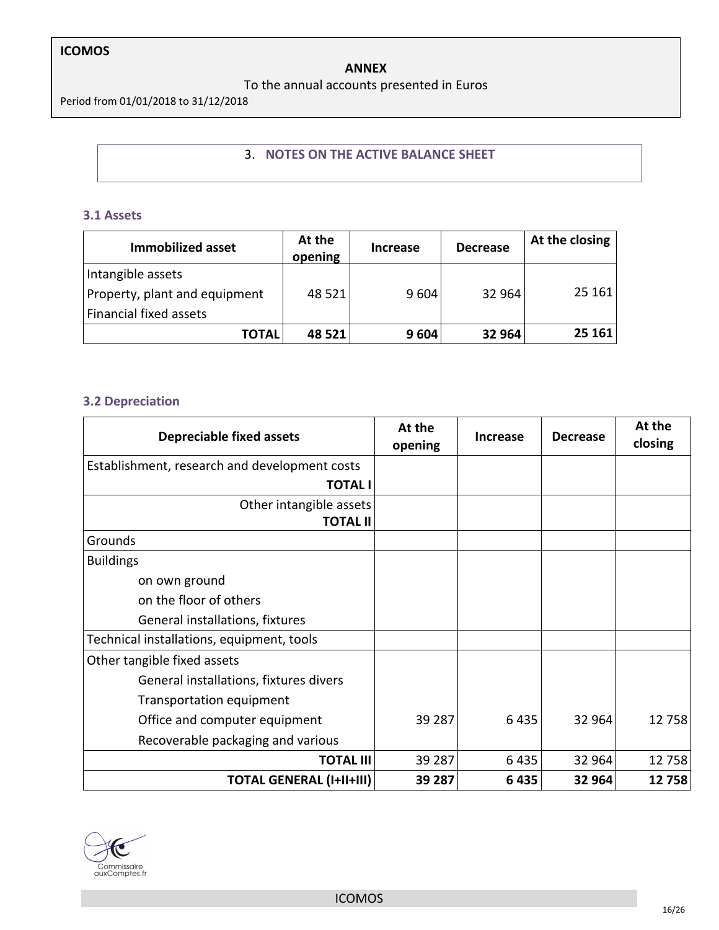#### **ANNEX**

#### To the annual accounts presented in Euros

Period from 01/01/2018 to 31/12/2018

#### 3. **NOTES ON THE ACTIVE BALANCE SHEET**

#### **3.1 Assets**

| <b>Immobilized asset</b>                           | At the<br>opening | <b>Increase</b> | <b>Decrease</b> | At the closing |
|----------------------------------------------------|-------------------|-----------------|-----------------|----------------|
| Intangible assets<br>Property, plant and equipment | 48 5 21           | 9 6 0 4         | 32 964          | 25 161         |
| Financial fixed assets                             |                   |                 |                 |                |
| <b>TOTAL</b>                                       | 48 521            | 9604            | 32 964          | 25 161         |

#### **3.2 Depreciation**

| <b>Depreciable fixed assets</b>               | At the<br>opening | Increase | <b>Decrease</b> | At the<br>closing |
|-----------------------------------------------|-------------------|----------|-----------------|-------------------|
| Establishment, research and development costs |                   |          |                 |                   |
| <b>TOTAL I</b>                                |                   |          |                 |                   |
| Other intangible assets                       |                   |          |                 |                   |
| <b>TOTAL II</b>                               |                   |          |                 |                   |
| Grounds                                       |                   |          |                 |                   |
| <b>Buildings</b>                              |                   |          |                 |                   |
| on own ground                                 |                   |          |                 |                   |
| on the floor of others                        |                   |          |                 |                   |
| General installations, fixtures               |                   |          |                 |                   |
| Technical installations, equipment, tools     |                   |          |                 |                   |
| Other tangible fixed assets                   |                   |          |                 |                   |
| General installations, fixtures divers        |                   |          |                 |                   |
| Transportation equipment                      |                   |          |                 |                   |
| Office and computer equipment                 | 39 287            | 6435     | 32 964          | 12758             |
| Recoverable packaging and various             |                   |          |                 |                   |
| <b>TOTAL III</b>                              | 39 287            | 6435     | 32 964          | 12758             |
| <b>TOTAL GENERAL (I+II+III)</b>               | 39 287            | 6435     | 32 964          | 12758             |



ICOMOS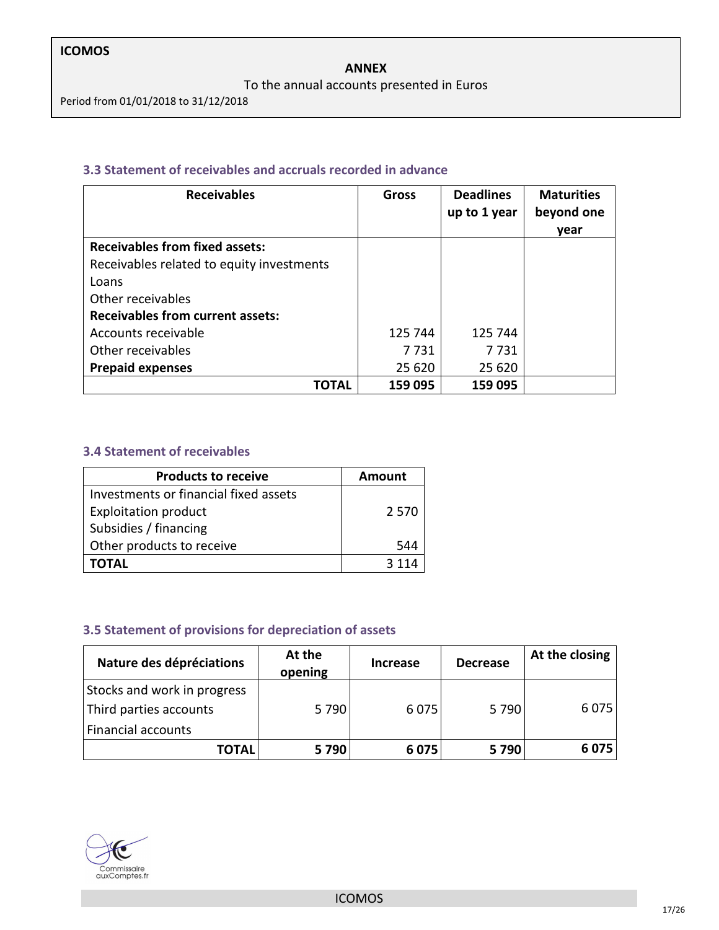#### To the annual accounts presented in Euros

Period from 01/01/2018 to 31/12/2018

#### **3.3 Statement of receivables and accruals recorded in advance**

| <b>Receivables</b>                        | Gross   | <b>Deadlines</b><br>up to 1 year | <b>Maturities</b><br>beyond one |
|-------------------------------------------|---------|----------------------------------|---------------------------------|
|                                           |         |                                  | year                            |
| <b>Receivables from fixed assets:</b>     |         |                                  |                                 |
| Receivables related to equity investments |         |                                  |                                 |
| Loans                                     |         |                                  |                                 |
| Other receivables                         |         |                                  |                                 |
| <b>Receivables from current assets:</b>   |         |                                  |                                 |
| Accounts receivable                       | 125 744 | 125 744                          |                                 |
| Other receivables                         | 7 7 3 1 | 7 7 3 1                          |                                 |
| <b>Prepaid expenses</b>                   | 25 620  | 25 620                           |                                 |
| ΓΟΤΑL                                     | 159 095 | 159 095                          |                                 |

#### **3.4 Statement of receivables**

| <b>Products to receive</b>            | Amount  |
|---------------------------------------|---------|
| Investments or financial fixed assets |         |
| <b>Exploitation product</b>           | 2 5 7 0 |
| Subsidies / financing                 |         |
| Other products to receive             | 544     |
| <b>TOTAL</b>                          |         |

#### **3.5 Statement of provisions for depreciation of assets**

| Nature des dépréciations    | At the<br>opening | <b>Increase</b> | <b>Decrease</b> | At the closing |
|-----------------------------|-------------------|-----------------|-----------------|----------------|
| Stocks and work in progress |                   |                 |                 |                |
| Third parties accounts      | 5790              | 6075            | 5790            | 6 0 7 5        |
| <b>Financial accounts</b>   |                   |                 |                 |                |
| <b>TOTAL</b>                | 5790              | 6075            | 5790            | 6075           |

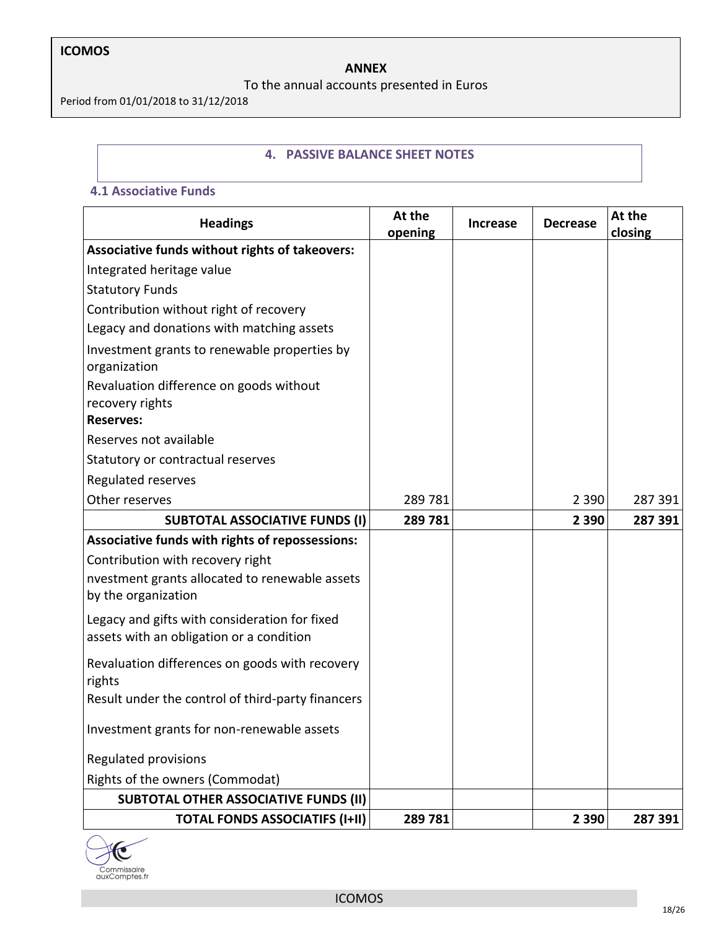#### **ANNEX**

To the annual accounts presented in Euros

Period from 01/01/2018 to 31/12/2018

#### **4. PASSIVE BALANCE SHEET NOTES**

#### **4.1 Associative Funds**

| <b>Headings</b>                                                                           | At the<br>opening | <b>Increase</b> | <b>Decrease</b> | At the<br>closing |
|-------------------------------------------------------------------------------------------|-------------------|-----------------|-----------------|-------------------|
| Associative funds without rights of takeovers:                                            |                   |                 |                 |                   |
| Integrated heritage value                                                                 |                   |                 |                 |                   |
| <b>Statutory Funds</b>                                                                    |                   |                 |                 |                   |
| Contribution without right of recovery                                                    |                   |                 |                 |                   |
| Legacy and donations with matching assets                                                 |                   |                 |                 |                   |
| Investment grants to renewable properties by<br>organization                              |                   |                 |                 |                   |
| Revaluation difference on goods without<br>recovery rights                                |                   |                 |                 |                   |
| <b>Reserves:</b>                                                                          |                   |                 |                 |                   |
| Reserves not available                                                                    |                   |                 |                 |                   |
| Statutory or contractual reserves                                                         |                   |                 |                 |                   |
| Regulated reserves                                                                        |                   |                 |                 |                   |
| Other reserves                                                                            | 289 781           |                 | 2 3 9 0         | 287 391           |
| <b>SUBTOTAL ASSOCIATIVE FUNDS (I)</b>                                                     | 289781            |                 | 2 3 9 0         | 287 391           |
| Associative funds with rights of repossessions:                                           |                   |                 |                 |                   |
| Contribution with recovery right                                                          |                   |                 |                 |                   |
| nvestment grants allocated to renewable assets<br>by the organization                     |                   |                 |                 |                   |
| Legacy and gifts with consideration for fixed<br>assets with an obligation or a condition |                   |                 |                 |                   |
| Revaluation differences on goods with recovery<br>rights                                  |                   |                 |                 |                   |
| Result under the control of third-party financers                                         |                   |                 |                 |                   |
| Investment grants for non-renewable assets                                                |                   |                 |                 |                   |
| Regulated provisions                                                                      |                   |                 |                 |                   |
| Rights of the owners (Commodat)                                                           |                   |                 |                 |                   |
| <b>SUBTOTAL OTHER ASSOCIATIVE FUNDS (II)</b>                                              |                   |                 |                 |                   |
| <b>TOTAL FONDS ASSOCIATIFS (I+II)</b>                                                     | 289781            |                 | 2 3 9 0         | 287 391           |

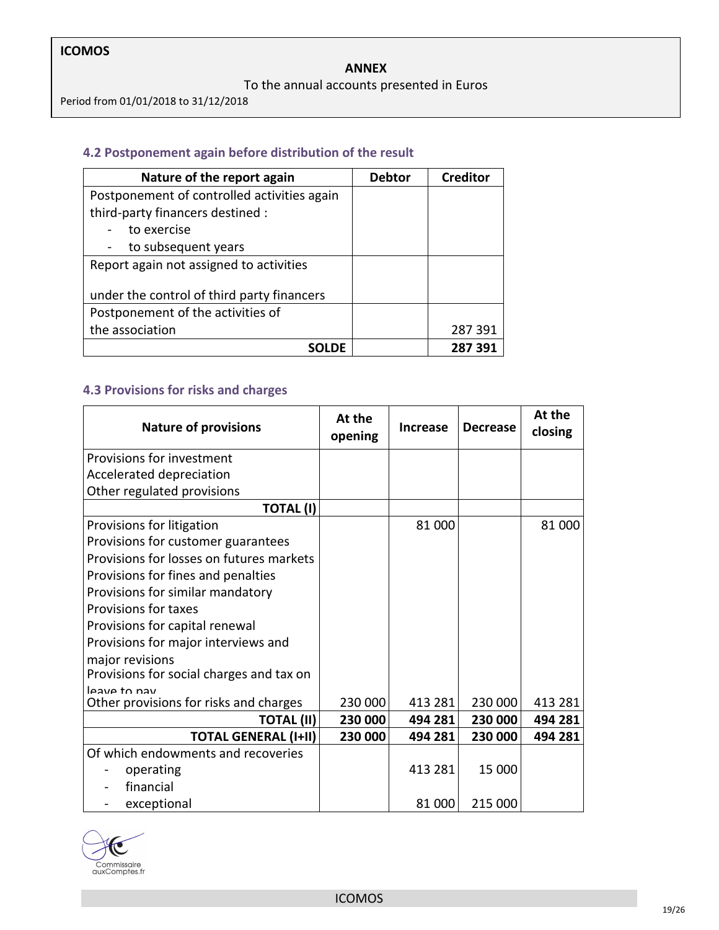#### **ANNEX**

#### To the annual accounts presented in Euros

Period from 01/01/2018 to 31/12/2018

#### **4.2 Postponement again before distribution of the result**

| Nature of the report again                  | <b>Debtor</b> | <b>Creditor</b> |
|---------------------------------------------|---------------|-----------------|
| Postponement of controlled activities again |               |                 |
| third-party financers destined :            |               |                 |
| to exercise                                 |               |                 |
| to subsequent years                         |               |                 |
| Report again not assigned to activities     |               |                 |
| under the control of third party financers  |               |                 |
| Postponement of the activities of           |               |                 |
| the association                             |               | 287391          |
| SOLDF                                       |               | 287 391         |

### **4.3 Provisions for risks and charges**

| <b>Nature of provisions</b>              | At the<br>opening | <b>Increase</b> | <b>Decrease</b> | At the<br>closing |
|------------------------------------------|-------------------|-----------------|-----------------|-------------------|
| Provisions for investment                |                   |                 |                 |                   |
| Accelerated depreciation                 |                   |                 |                 |                   |
| Other regulated provisions               |                   |                 |                 |                   |
| <b>TOTAL (I)</b>                         |                   |                 |                 |                   |
| Provisions for litigation                |                   | 81 000          |                 | 81 000            |
| Provisions for customer guarantees       |                   |                 |                 |                   |
| Provisions for losses on futures markets |                   |                 |                 |                   |
| Provisions for fines and penalties       |                   |                 |                 |                   |
| Provisions for similar mandatory         |                   |                 |                 |                   |
| <b>Provisions for taxes</b>              |                   |                 |                 |                   |
| Provisions for capital renewal           |                   |                 |                 |                   |
| Provisions for major interviews and      |                   |                 |                 |                   |
| major revisions                          |                   |                 |                 |                   |
| Provisions for social charges and tax on |                   |                 |                 |                   |
| leave to nay                             | 230 000           | 413 281         | 230 000         | 413 281           |
| Other provisions for risks and charges   |                   |                 |                 |                   |
| TOTAL (II)                               | 230 000           | 494 281         | 230 000         | 494 281           |
| <b>TOTAL GENERAL (I+II)</b>              | 230 000           | 494 281         | 230 000         | 494 281           |
| Of which endowments and recoveries       |                   |                 |                 |                   |
| operating                                |                   | 413 281         | 15 000          |                   |
| financial                                |                   |                 |                 |                   |
| exceptional                              |                   | 81 000          | 215 000         |                   |

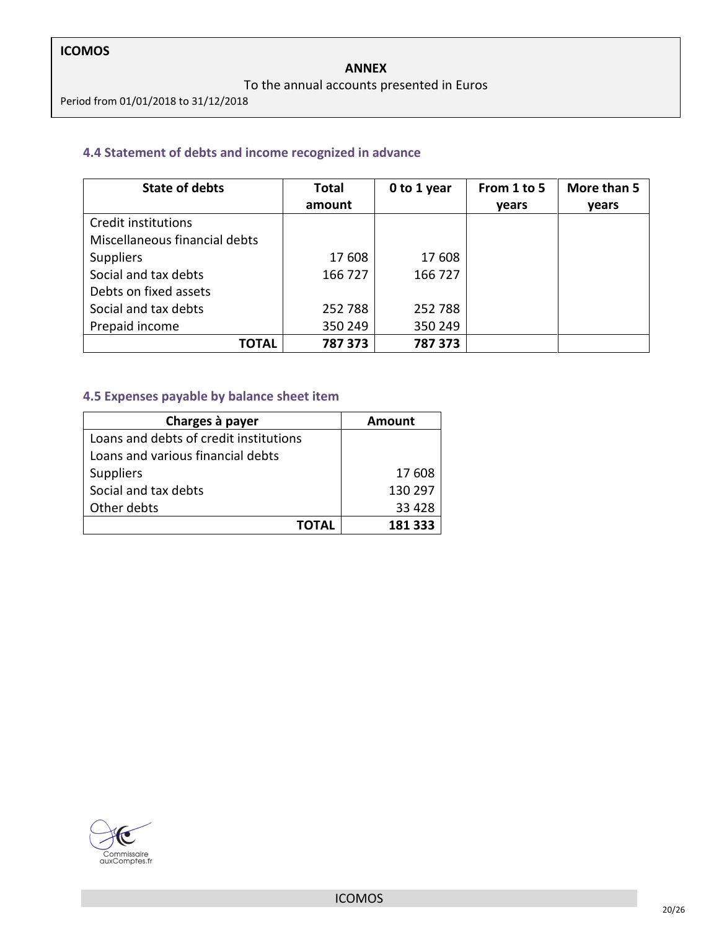#### To the annual accounts presented in Euros

Period from 01/01/2018 to 31/12/2018

#### **4.4 Statement of debts and income recognized in advance**

| <b>State of debts</b>         | <b>Total</b> | 0 to 1 year | From 1 to 5 | More than 5 |
|-------------------------------|--------------|-------------|-------------|-------------|
|                               | amount       |             | years       | years       |
| Credit institutions           |              |             |             |             |
| Miscellaneous financial debts |              |             |             |             |
| <b>Suppliers</b>              | 17 608       | 17 608      |             |             |
| Social and tax debts          | 166 727      | 166 727     |             |             |
| Debts on fixed assets         |              |             |             |             |
| Social and tax debts          | 252788       | 252 788     |             |             |
| Prepaid income                | 350 249      | 350 249     |             |             |
| <b>TOTAL</b>                  | 787 373      | 787 373     |             |             |

#### **4.5 Expenses payable by balance sheet item**

| Charges à payer                        | Amount  |
|----------------------------------------|---------|
| Loans and debts of credit institutions |         |
| Loans and various financial debts      |         |
| <b>Suppliers</b>                       | 17 608  |
| Social and tax debts                   | 130 297 |
| Other debts                            | 33 4 28 |
| ΤΟΤΑL                                  | 181 333 |

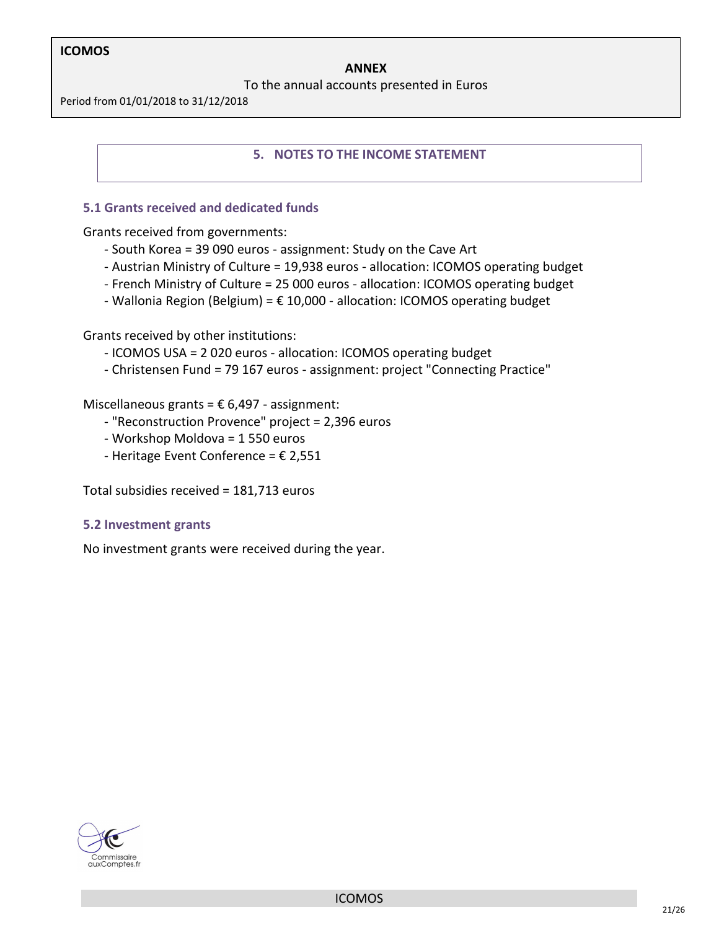#### **ANNEX**

To the annual accounts presented in Euros

Period from 01/01/2018 to 31/12/2018

#### **5. NOTES TO THE INCOME STATEMENT**

#### **5.1 Grants received and dedicated funds**

Grants received from governments:

- South Korea = 39 090 euros assignment: Study on the Cave Art
- Austrian Ministry of Culture = 19,938 euros allocation: ICOMOS operating budget
- French Ministry of Culture = 25 000 euros allocation: ICOMOS operating budget
- Wallonia Region (Belgium) =  $\epsilon$  10,000 allocation: ICOMOS operating budget

Grants received by other institutions:

- ICOMOS USA = 2 020 euros allocation: ICOMOS operating budget
- Christensen Fund = 79 167 euros assignment: project "Connecting Practice"

Miscellaneous grants =  $\epsilon$  6,497 - assignment:

- "Reconstruction Provence" project = 2,396 euros
- Workshop Moldova = 1 550 euros
- Heritage Event Conference =  $\epsilon$  2,551

Total subsidies received = 181,713 euros

#### **5.2 Investment grants**

No investment grants were received during the year.

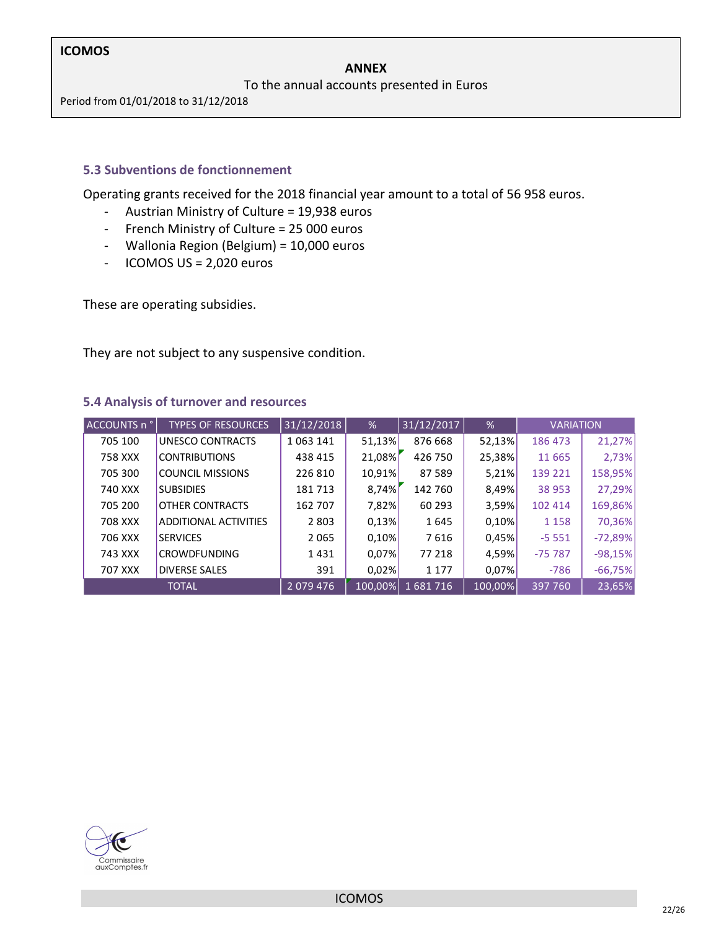#### **ANNEX**

To the annual accounts presented in Euros

Period from 01/01/2018 to 31/12/2018

#### **5.3 Subventions de fonctionnement**

Operating grants received for the 2018 financial year amount to a total of 56 958 euros.

- Austrian Ministry of Culture = 19,938 euros
- French Ministry of Culture = 25 000 euros
- Wallonia Region (Belgium) = 10,000 euros
- ICOMOS US = 2,020 euros

These are operating subsidies.

They are not subject to any suspensive condition.

#### **5.4 Analysis of turnover and resources**

| ACCOUNTS n ° | <b>TYPES OF RESOURCES</b>    | 31/12/2018 | %      | 31/12/2017      | %       | <b>VARIATION</b> |           |
|--------------|------------------------------|------------|--------|-----------------|---------|------------------|-----------|
| 705 100      | UNESCO CONTRACTS             | 1063141    | 51,13% | 876 668         | 52,13%  | 186 473          | 21,27%    |
| 758 XXX      | <b>CONTRIBUTIONS</b>         | 438 415    | 21,08% | 426 750         | 25,38%  | 11 6 65          | 2,73%     |
| 705 300      | <b>COUNCIL MISSIONS</b>      | 226 810    | 10,91% | 87 589          | 5,21%   | 139 221          | 158,95%   |
| 740 XXX      | <b>SUBSIDIES</b>             | 181713     | 8,74%  | 142 760         | 8,49%   | 38 953           | 27,29%    |
| 705 200      | <b>OTHER CONTRACTS</b>       | 162 707    | 7,82%  | 60 293          | 3,59%   | 102 414          | 169,86%   |
| 708 XXX      | <b>ADDITIONAL ACTIVITIES</b> | 2 8 0 3    | 0,13%  | 1645            | 0,10%   | 1 1 5 8          | 70,36%    |
| 706 XXX      | <b>SERVICES</b>              | 2 0 6 5    | 0,10%  | 7616            | 0,45%   | $-5551$          | $-72,89%$ |
| 743 XXX      | <b>CROWDFUNDING</b>          | 1431       | 0,07%  | 77 218          | 4,59%   | $-75787$         | $-98,15%$ |
| 707 XXX      | <b>DIVERSE SALES</b>         | 391        | 0,02%  | 1 1 7 7         | 0,07%   | $-786$           | $-66,75%$ |
|              | <b>TOTAL</b>                 | 2079476    |        | 100,00% 1681716 | 100,00% | 397 760          | 23,65%    |

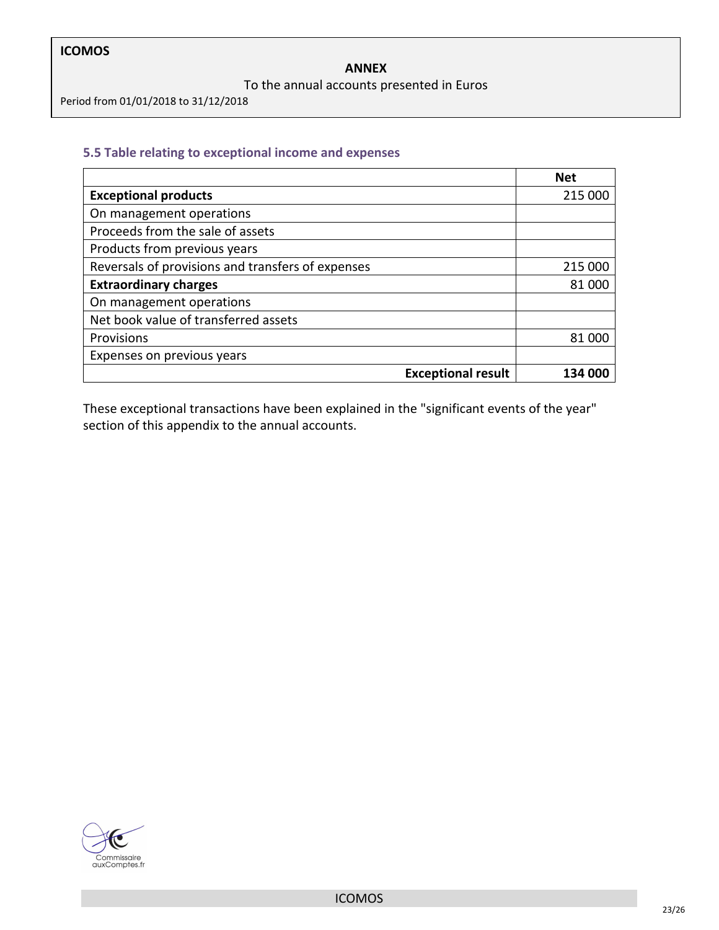#### To the annual accounts presented in Euros

Period from 01/01/2018 to 31/12/2018

#### **5.5 Table relating to exceptional income and expenses**

|                                                   | <b>Net</b> |
|---------------------------------------------------|------------|
| <b>Exceptional products</b>                       | 215 000    |
| On management operations                          |            |
| Proceeds from the sale of assets                  |            |
| Products from previous years                      |            |
| Reversals of provisions and transfers of expenses | 215 000    |
| <b>Extraordinary charges</b>                      | 81.000     |
| On management operations                          |            |
| Net book value of transferred assets              |            |
| Provisions                                        | 81 000     |
| Expenses on previous years                        |            |
| <b>Exceptional result</b>                         |            |

These exceptional transactions have been explained in the "significant events of the year" section of this appendix to the annual accounts.

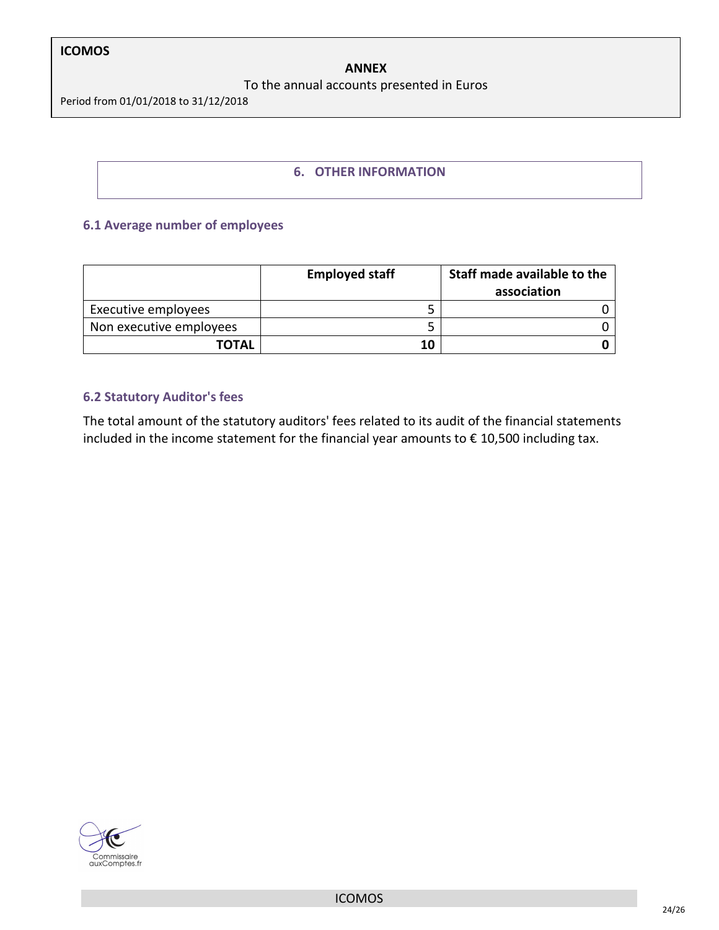#### **ANNEX**

#### To the annual accounts presented in Euros

Period from 01/01/2018 to 31/12/2018

#### **6. OTHER INFORMATION**

#### **6.1 Average number of employees**

|                         | <b>Employed staff</b> | Staff made available to the<br>association |
|-------------------------|-----------------------|--------------------------------------------|
| Executive employees     |                       |                                            |
| Non executive employees |                       |                                            |
| <b>TOTAL</b>            | 10                    |                                            |

#### **6.2 Statutory Auditor's fees**

The total amount of the statutory auditors' fees related to its audit of the financial statements included in the income statement for the financial year amounts to € 10,500 including tax.

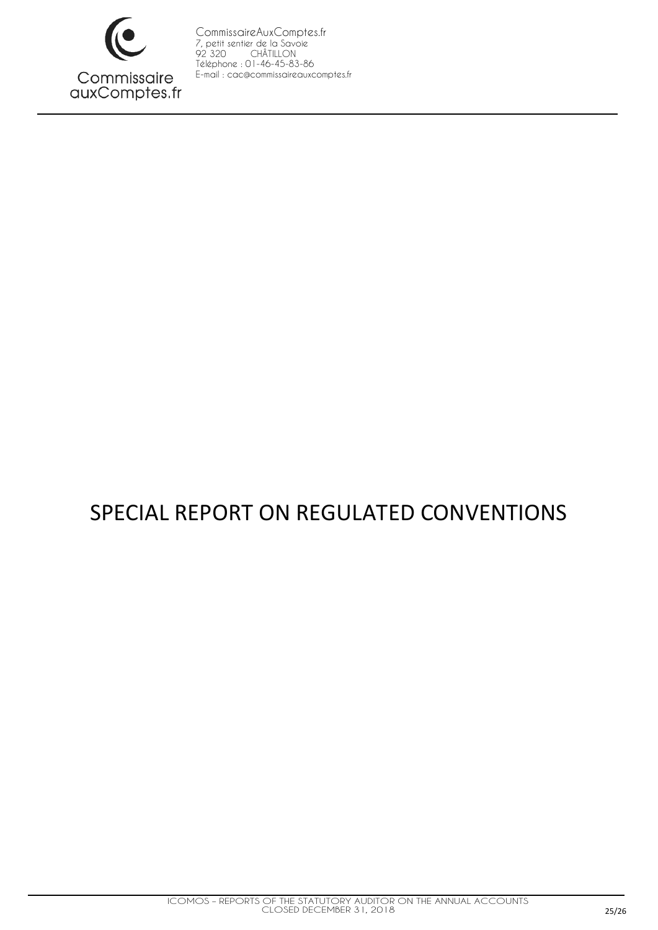

# SPECIAL REPORT ON REGULATED CONVENTIONS